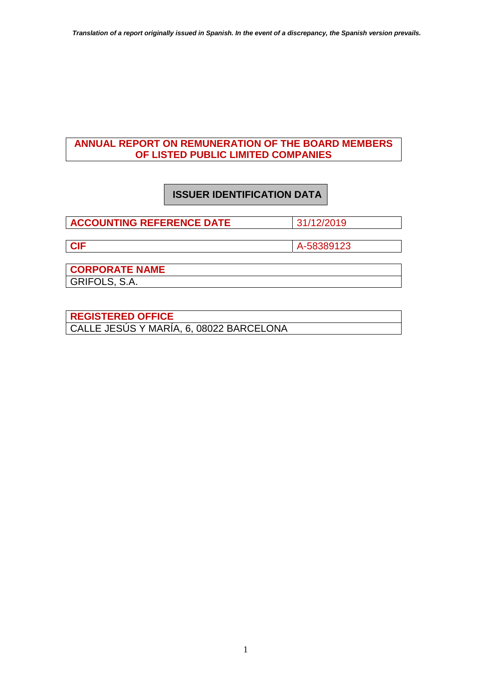### **ANNUAL REPORT ON REMUNERATION OF THE BOARD MEMBERS OF LISTED PUBLIC LIMITED COMPANIES**

# **ISSUER IDENTIFICATION DATA**

**ACCOUNTING REFERENCE DATE** 31/12/2019

**CIF** A-58389123

**CORPORATE NAME**  GRIFOLS, S.A.

**REGISTERED OFFICE**  CALLE JESÚS Y MARÍA, 6, 08022 BARCELONA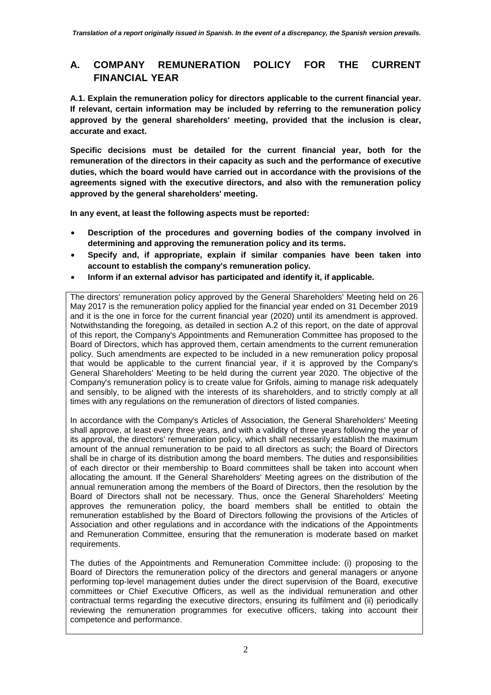## **A. COMPANY REMUNERATION POLICY FOR THE CURRENT FINANCIAL YEAR**

**A.1. Explain the remuneration policy for directors applicable to the current financial year. If relevant, certain information may be included by referring to the remuneration policy approved by the general shareholders' meeting, provided that the inclusion is clear, accurate and exact.** 

**Specific decisions must be detailed for the current financial year, both for the remuneration of the directors in their capacity as such and the performance of executive duties, which the board would have carried out in accordance with the provisions of the agreements signed with the executive directors, and also with the remuneration policy approved by the general shareholders' meeting.** 

**In any event, at least the following aspects must be reported:** 

- **Description of the procedures and governing bodies of the company involved in determining and approving the remuneration policy and its terms.**
- **Specify and, if appropriate, explain if similar companies have been taken into account to establish the company's remuneration policy.**
- **Inform if an external advisor has participated and identify it, if applicable.**

The directors' remuneration policy approved by the General Shareholders' Meeting held on 26 May 2017 is the remuneration policy applied for the financial year ended on 31 December 2019 and it is the one in force for the current financial year (2020) until its amendment is approved. Notwithstanding the foregoing, as detailed in section A.2 of this report, on the date of approval of this report, the Company's Appointments and Remuneration Committee has proposed to the Board of Directors, which has approved them, certain amendments to the current remuneration policy. Such amendments are expected to be included in a new remuneration policy proposal that would be applicable to the current financial year, if it is approved by the Company's General Shareholders' Meeting to be held during the current year 2020. The objective of the Company's remuneration policy is to create value for Grifols, aiming to manage risk adequately and sensibly, to be aligned with the interests of its shareholders, and to strictly comply at all times with any regulations on the remuneration of directors of listed companies.

In accordance with the Company's Articles of Association, the General Shareholders' Meeting shall approve, at least every three years, and with a validity of three years following the year of its approval, the directors' remuneration policy, which shall necessarily establish the maximum amount of the annual remuneration to be paid to all directors as such; the Board of Directors shall be in charge of its distribution among the board members. The duties and responsibilities of each director or their membership to Board committees shall be taken into account when allocating the amount. If the General Shareholders' Meeting agrees on the distribution of the annual remuneration among the members of the Board of Directors, then the resolution by the Board of Directors shall not be necessary. Thus, once the General Shareholders' Meeting approves the remuneration policy, the board members shall be entitled to obtain the remuneration established by the Board of Directors following the provisions of the Articles of Association and other regulations and in accordance with the indications of the Appointments and Remuneration Committee, ensuring that the remuneration is moderate based on market requirements.

The duties of the Appointments and Remuneration Committee include: (i) proposing to the Board of Directors the remuneration policy of the directors and general managers or anyone performing top-level management duties under the direct supervision of the Board, executive committees or Chief Executive Officers, as well as the individual remuneration and other contractual terms regarding the executive directors, ensuring its fulfilment and (ii) periodically reviewing the remuneration programmes for executive officers, taking into account their competence and performance.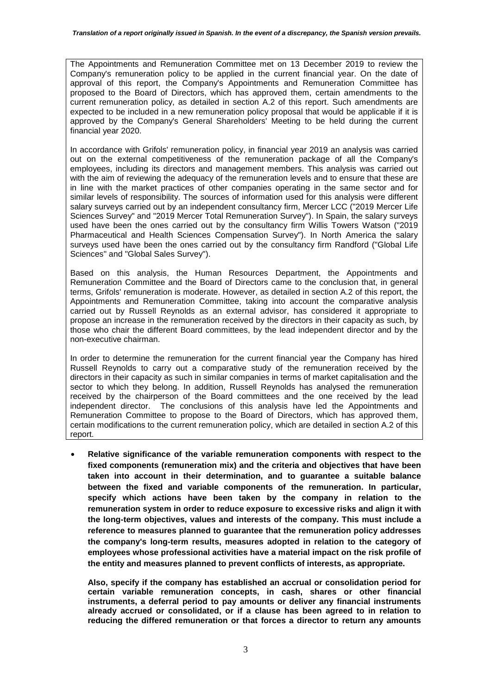The Appointments and Remuneration Committee met on 13 December 2019 to review the Company's remuneration policy to be applied in the current financial year. On the date of approval of this report, the Company's Appointments and Remuneration Committee has proposed to the Board of Directors, which has approved them, certain amendments to the current remuneration policy, as detailed in section A.2 of this report. Such amendments are expected to be included in a new remuneration policy proposal that would be applicable if it is approved by the Company's General Shareholders' Meeting to be held during the current financial year 2020.

In accordance with Grifols' remuneration policy, in financial year 2019 an analysis was carried out on the external competitiveness of the remuneration package of all the Company's employees, including its directors and management members. This analysis was carried out with the aim of reviewing the adequacy of the remuneration levels and to ensure that these are in line with the market practices of other companies operating in the same sector and for similar levels of responsibility. The sources of information used for this analysis were different salary surveys carried out by an independent consultancy firm, Mercer LCC ("2019 Mercer Life Sciences Survey" and "2019 Mercer Total Remuneration Survey"). In Spain, the salary surveys used have been the ones carried out by the consultancy firm Willis Towers Watson ("2019 Pharmaceutical and Health Sciences Compensation Survey"). In North America the salary surveys used have been the ones carried out by the consultancy firm Randford ("Global Life Sciences" and "Global Sales Survey").

Based on this analysis, the Human Resources Department, the Appointments and Remuneration Committee and the Board of Directors came to the conclusion that, in general terms, Grifols' remuneration is moderate. However, as detailed in section A.2 of this report, the Appointments and Remuneration Committee, taking into account the comparative analysis carried out by Russell Reynolds as an external advisor, has considered it appropriate to propose an increase in the remuneration received by the directors in their capacity as such, by those who chair the different Board committees, by the lead independent director and by the non-executive chairman.

In order to determine the remuneration for the current financial year the Company has hired Russell Reynolds to carry out a comparative study of the remuneration received by the directors in their capacity as such in similar companies in terms of market capitalisation and the sector to which they belong. In addition, Russell Reynolds has analysed the remuneration received by the chairperson of the Board committees and the one received by the lead independent director. The conclusions of this analysis have led the Appointments and Remuneration Committee to propose to the Board of Directors, which has approved them, certain modifications to the current remuneration policy, which are detailed in section A.2 of this report.

• **Relative significance of the variable remuneration components with respect to the fixed components (remuneration mix) and the criteria and objectives that have been taken into account in their determination, and to guarantee a suitable balance between the fixed and variable components of the remuneration. In particular, specify which actions have been taken by the company in relation to the remuneration system in order to reduce exposure to excessive risks and align it with the long-term objectives, values and interests of the company. This must include a reference to measures planned to guarantee that the remuneration policy addresses the company's long-term results, measures adopted in relation to the category of employees whose professional activities have a material impact on the risk profile of the entity and measures planned to prevent conflicts of interests, as appropriate.** 

**Also, specify if the company has established an accrual or consolidation period for certain variable remuneration concepts, in cash, shares or other financial instruments, a deferral period to pay amounts or deliver any financial instruments already accrued or consolidated, or if a clause has been agreed to in relation to reducing the differed remuneration or that forces a director to return any amounts**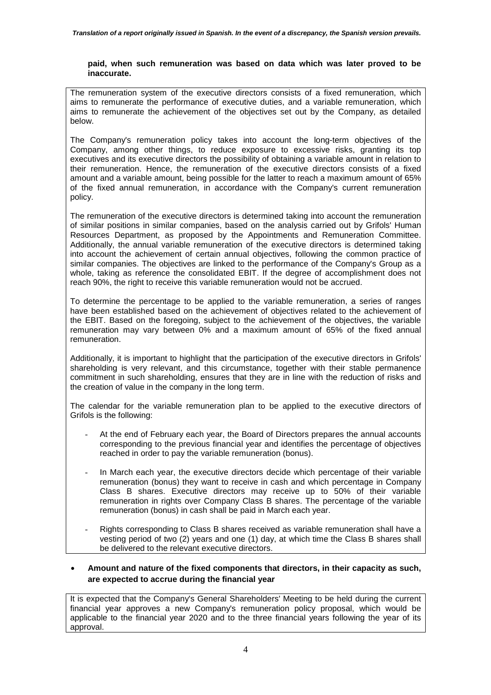#### **paid, when such remuneration was based on data which was later proved to be inaccurate.**

The remuneration system of the executive directors consists of a fixed remuneration, which aims to remunerate the performance of executive duties, and a variable remuneration, which aims to remunerate the achievement of the objectives set out by the Company, as detailed below.

The Company's remuneration policy takes into account the long-term objectives of the Company, among other things, to reduce exposure to excessive risks, granting its top executives and its executive directors the possibility of obtaining a variable amount in relation to their remuneration. Hence, the remuneration of the executive directors consists of a fixed amount and a variable amount, being possible for the latter to reach a maximum amount of 65% of the fixed annual remuneration, in accordance with the Company's current remuneration policy.

The remuneration of the executive directors is determined taking into account the remuneration of similar positions in similar companies, based on the analysis carried out by Grifols' Human Resources Department, as proposed by the Appointments and Remuneration Committee. Additionally, the annual variable remuneration of the executive directors is determined taking into account the achievement of certain annual objectives, following the common practice of similar companies. The objectives are linked to the performance of the Company's Group as a whole, taking as reference the consolidated EBIT. If the degree of accomplishment does not reach 90%, the right to receive this variable remuneration would not be accrued.

To determine the percentage to be applied to the variable remuneration, a series of ranges have been established based on the achievement of objectives related to the achievement of the EBIT. Based on the foregoing, subject to the achievement of the objectives, the variable remuneration may vary between 0% and a maximum amount of 65% of the fixed annual remuneration.

Additionally, it is important to highlight that the participation of the executive directors in Grifols' shareholding is very relevant, and this circumstance, together with their stable permanence commitment in such shareholding, ensures that they are in line with the reduction of risks and the creation of value in the company in the long term.

The calendar for the variable remuneration plan to be applied to the executive directors of Grifols is the following:

- At the end of February each year, the Board of Directors prepares the annual accounts corresponding to the previous financial year and identifies the percentage of objectives reached in order to pay the variable remuneration (bonus).
- In March each year, the executive directors decide which percentage of their variable remuneration (bonus) they want to receive in cash and which percentage in Company Class B shares. Executive directors may receive up to 50% of their variable remuneration in rights over Company Class B shares. The percentage of the variable remuneration (bonus) in cash shall be paid in March each year.
- Rights corresponding to Class B shares received as variable remuneration shall have a vesting period of two (2) years and one (1) day, at which time the Class B shares shall be delivered to the relevant executive directors.

### • **Amount and nature of the fixed components that directors, in their capacity as such, are expected to accrue during the financial year**

It is expected that the Company's General Shareholders' Meeting to be held during the current financial year approves a new Company's remuneration policy proposal, which would be applicable to the financial year 2020 and to the three financial years following the year of its approval.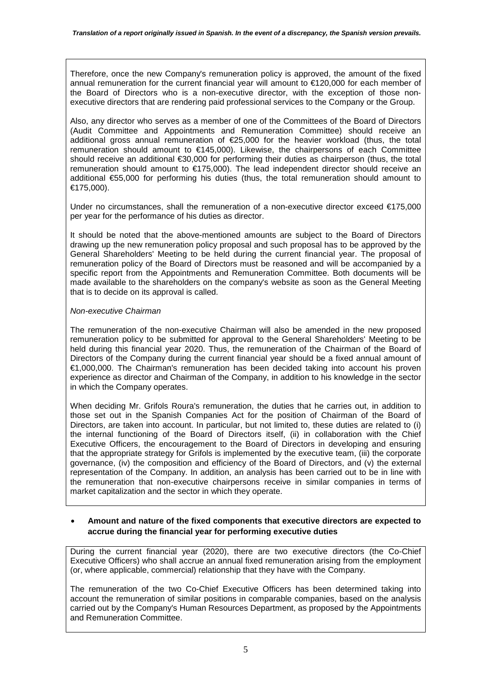Therefore, once the new Company's remuneration policy is approved, the amount of the fixed annual remuneration for the current financial year will amount to €120,000 for each member of the Board of Directors who is a non-executive director, with the exception of those nonexecutive directors that are rendering paid professional services to the Company or the Group.

Also, any director who serves as a member of one of the Committees of the Board of Directors (Audit Committee and Appointments and Remuneration Committee) should receive an additional gross annual remuneration of €25,000 for the heavier workload (thus, the total remuneration should amount to €145,000). Likewise, the chairpersons of each Committee should receive an additional €30,000 for performing their duties as chairperson (thus, the total remuneration should amount to €175,000). The lead independent director should receive an additional €55,000 for performing his duties (thus, the total remuneration should amount to €175,000).

Under no circumstances, shall the remuneration of a non-executive director exceed €175,000 per year for the performance of his duties as director.

It should be noted that the above-mentioned amounts are subject to the Board of Directors drawing up the new remuneration policy proposal and such proposal has to be approved by the General Shareholders' Meeting to be held during the current financial year. The proposal of remuneration policy of the Board of Directors must be reasoned and will be accompanied by a specific report from the Appointments and Remuneration Committee. Both documents will be made available to the shareholders on the company's website as soon as the General Meeting that is to decide on its approval is called.

#### *Non-executive Chairman*

The remuneration of the non-executive Chairman will also be amended in the new proposed remuneration policy to be submitted for approval to the General Shareholders' Meeting to be held during this financial year 2020. Thus, the remuneration of the Chairman of the Board of Directors of the Company during the current financial year should be a fixed annual amount of €1,000,000. The Chairman's remuneration has been decided taking into account his proven experience as director and Chairman of the Company, in addition to his knowledge in the sector in which the Company operates.

When deciding Mr. Grifols Roura's remuneration, the duties that he carries out, in addition to those set out in the Spanish Companies Act for the position of Chairman of the Board of Directors, are taken into account. In particular, but not limited to, these duties are related to (i) the internal functioning of the Board of Directors itself, (ii) in collaboration with the Chief Executive Officers, the encouragement to the Board of Directors in developing and ensuring that the appropriate strategy for Grifols is implemented by the executive team, (iii) the corporate governance, (iv) the composition and efficiency of the Board of Directors, and (v) the external representation of the Company. In addition, an analysis has been carried out to be in line with the remuneration that non-executive chairpersons receive in similar companies in terms of market capitalization and the sector in which they operate.

### • **Amount and nature of the fixed components that executive directors are expected to accrue during the financial year for performing executive duties**

During the current financial year (2020), there are two executive directors (the Co-Chief Executive Officers) who shall accrue an annual fixed remuneration arising from the employment (or, where applicable, commercial) relationship that they have with the Company.

The remuneration of the two Co-Chief Executive Officers has been determined taking into account the remuneration of similar positions in comparable companies, based on the analysis carried out by the Company's Human Resources Department, as proposed by the Appointments and Remuneration Committee.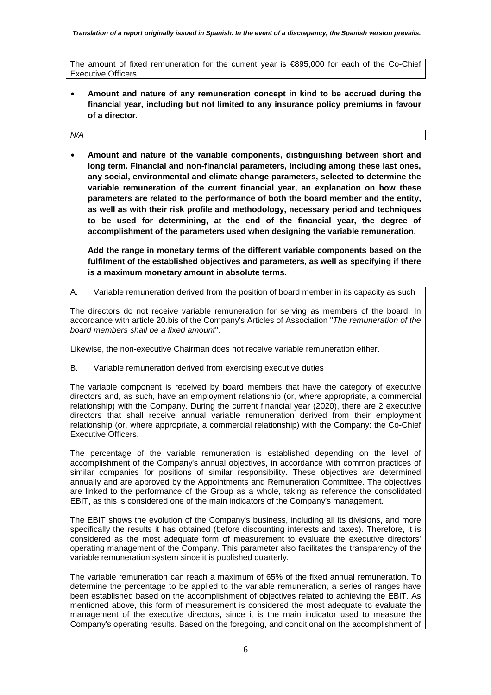The amount of fixed remuneration for the current year is €895,000 for each of the Co-Chief Executive Officers.

• **Amount and nature of any remuneration concept in kind to be accrued during the financial year, including but not limited to any insurance policy premiums in favour of a director.**

#### *N/A*

• **Amount and nature of the variable components, distinguishing between short and long term. Financial and non-financial parameters, including among these last ones, any social, environmental and climate change parameters, selected to determine the variable remuneration of the current financial year, an explanation on how these parameters are related to the performance of both the board member and the entity, as well as with their risk profile and methodology, necessary period and techniques to be used for determining, at the end of the financial year, the degree of accomplishment of the parameters used when designing the variable remuneration.** 

**Add the range in monetary terms of the different variable components based on the fulfilment of the established objectives and parameters, as well as specifying if there is a maximum monetary amount in absolute terms.** 

A. Variable remuneration derived from the position of board member in its capacity as such

The directors do not receive variable remuneration for serving as members of the board. In accordance with article 20.bis of the Company's Articles of Association "*The remuneration of the board members shall be a fixed amount*".

Likewise, the non-executive Chairman does not receive variable remuneration either.

B. Variable remuneration derived from exercising executive duties

The variable component is received by board members that have the category of executive directors and, as such, have an employment relationship (or, where appropriate, a commercial relationship) with the Company. During the current financial year (2020), there are 2 executive directors that shall receive annual variable remuneration derived from their employment relationship (or, where appropriate, a commercial relationship) with the Company: the Co-Chief Executive Officers.

The percentage of the variable remuneration is established depending on the level of accomplishment of the Company's annual objectives, in accordance with common practices of similar companies for positions of similar responsibility. These objectives are determined annually and are approved by the Appointments and Remuneration Committee. The objectives are linked to the performance of the Group as a whole, taking as reference the consolidated EBIT, as this is considered one of the main indicators of the Company's management.

The EBIT shows the evolution of the Company's business, including all its divisions, and more specifically the results it has obtained (before discounting interests and taxes). Therefore, it is considered as the most adequate form of measurement to evaluate the executive directors' operating management of the Company. This parameter also facilitates the transparency of the variable remuneration system since it is published quarterly.

The variable remuneration can reach a maximum of 65% of the fixed annual remuneration. To determine the percentage to be applied to the variable remuneration, a series of ranges have been established based on the accomplishment of objectives related to achieving the EBIT. As mentioned above, this form of measurement is considered the most adequate to evaluate the management of the executive directors, since it is the main indicator used to measure the Company's operating results. Based on the foregoing, and conditional on the accomplishment of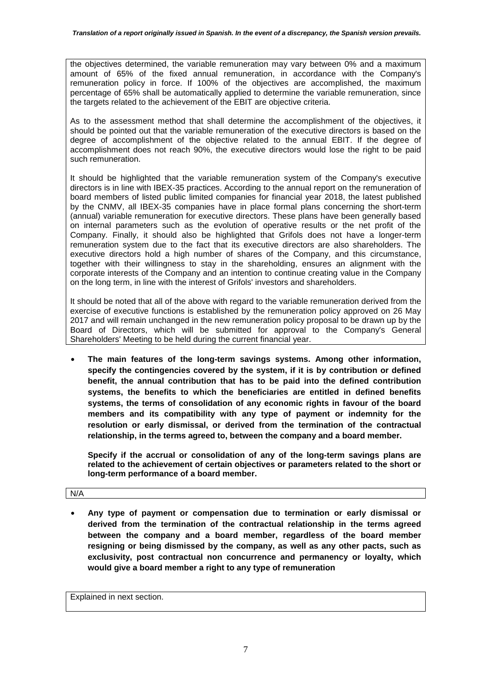the objectives determined, the variable remuneration may vary between 0% and a maximum amount of 65% of the fixed annual remuneration, in accordance with the Company's remuneration policy in force. If 100% of the objectives are accomplished, the maximum percentage of 65% shall be automatically applied to determine the variable remuneration, since the targets related to the achievement of the EBIT are objective criteria.

As to the assessment method that shall determine the accomplishment of the objectives, it should be pointed out that the variable remuneration of the executive directors is based on the degree of accomplishment of the objective related to the annual EBIT. If the degree of accomplishment does not reach 90%, the executive directors would lose the right to be paid such remuneration.

It should be highlighted that the variable remuneration system of the Company's executive directors is in line with IBEX-35 practices. According to the annual report on the remuneration of board members of listed public limited companies for financial year 2018, the latest published by the CNMV, all IBEX-35 companies have in place formal plans concerning the short-term (annual) variable remuneration for executive directors. These plans have been generally based on internal parameters such as the evolution of operative results or the net profit of the Company. Finally, it should also be highlighted that Grifols does not have a longer-term remuneration system due to the fact that its executive directors are also shareholders. The executive directors hold a high number of shares of the Company, and this circumstance, together with their willingness to stay in the shareholding, ensures an alignment with the corporate interests of the Company and an intention to continue creating value in the Company on the long term, in line with the interest of Grifols' investors and shareholders.

It should be noted that all of the above with regard to the variable remuneration derived from the exercise of executive functions is established by the remuneration policy approved on 26 May 2017 and will remain unchanged in the new remuneration policy proposal to be drawn up by the Board of Directors, which will be submitted for approval to the Company's General Shareholders' Meeting to be held during the current financial year.

• **The main features of the long-term savings systems. Among other information, specify the contingencies covered by the system, if it is by contribution or defined benefit, the annual contribution that has to be paid into the defined contribution systems, the benefits to which the beneficiaries are entitled in defined benefits systems, the terms of consolidation of any economic rights in favour of the board members and its compatibility with any type of payment or indemnity for the resolution or early dismissal, or derived from the termination of the contractual relationship, in the terms agreed to, between the company and a board member.** 

**Specify if the accrual or consolidation of any of the long-term savings plans are related to the achievement of certain objectives or parameters related to the short or long-term performance of a board member.** 

N/A

• **Any type of payment or compensation due to termination or early dismissal or derived from the termination of the contractual relationship in the terms agreed between the company and a board member, regardless of the board member resigning or being dismissed by the company, as well as any other pacts, such as exclusivity, post contractual non concurrence and permanency or loyalty, which would give a board member a right to any type of remuneration**

Explained in next section.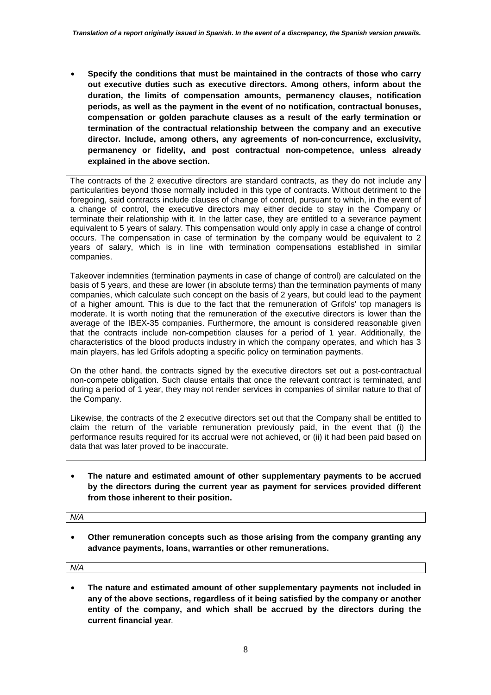• **Specify the conditions that must be maintained in the contracts of those who carry out executive duties such as executive directors. Among others, inform about the duration, the limits of compensation amounts, permanency clauses, notification periods, as well as the payment in the event of no notification, contractual bonuses, compensation or golden parachute clauses as a result of the early termination or termination of the contractual relationship between the company and an executive director. Include, among others, any agreements of non-concurrence, exclusivity, permanency or fidelity, and post contractual non-competence, unless already explained in the above section.** 

The contracts of the 2 executive directors are standard contracts, as they do not include any particularities beyond those normally included in this type of contracts. Without detriment to the foregoing, said contracts include clauses of change of control, pursuant to which, in the event of a change of control, the executive directors may either decide to stay in the Company or terminate their relationship with it. In the latter case, they are entitled to a severance payment equivalent to 5 years of salary. This compensation would only apply in case a change of control occurs. The compensation in case of termination by the company would be equivalent to 2 years of salary, which is in line with termination compensations established in similar companies.

Takeover indemnities (termination payments in case of change of control) are calculated on the basis of 5 years, and these are lower (in absolute terms) than the termination payments of many companies, which calculate such concept on the basis of 2 years, but could lead to the payment of a higher amount. This is due to the fact that the remuneration of Grifols' top managers is moderate. It is worth noting that the remuneration of the executive directors is lower than the average of the IBEX-35 companies. Furthermore, the amount is considered reasonable given that the contracts include non-competition clauses for a period of 1 year. Additionally, the characteristics of the blood products industry in which the company operates, and which has 3 main players, has led Grifols adopting a specific policy on termination payments.

On the other hand, the contracts signed by the executive directors set out a post-contractual non-compete obligation. Such clause entails that once the relevant contract is terminated, and during a period of 1 year, they may not render services in companies of similar nature to that of the Company.

Likewise, the contracts of the 2 executive directors set out that the Company shall be entitled to claim the return of the variable remuneration previously paid, in the event that (i) the performance results required for its accrual were not achieved, or (ii) it had been paid based on data that was later proved to be inaccurate.

• **The nature and estimated amount of other supplementary payments to be accrued by the directors during the current year as payment for services provided different from those inherent to their position.**

*N/A* 

• **Other remuneration concepts such as those arising from the company granting any advance payments, loans, warranties or other remunerations.** 

*N/A*

• **The nature and estimated amount of other supplementary payments not included in any of the above sections, regardless of it being satisfied by the company or another entity of the company, and which shall be accrued by the directors during the current financial year***.*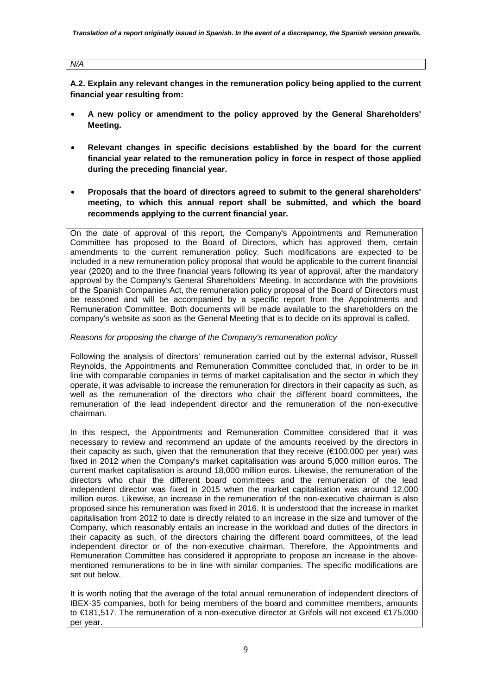**A.2. Explain any relevant changes in the remuneration policy being applied to the current financial year resulting from:** 

- **A new policy or amendment to the policy approved by the General Shareholders' Meeting.**
- **Relevant changes in specific decisions established by the board for the current financial year related to the remuneration policy in force in respect of those applied during the preceding financial year.**
- **Proposals that the board of directors agreed to submit to the general shareholders' meeting, to which this annual report shall be submitted, and which the board recommends applying to the current financial year.**

On the date of approval of this report, the Company's Appointments and Remuneration Committee has proposed to the Board of Directors, which has approved them, certain amendments to the current remuneration policy. Such modifications are expected to be included in a new remuneration policy proposal that would be applicable to the current financial year (2020) and to the three financial years following its year of approval, after the mandatory approval by the Company's General Shareholders' Meeting. In accordance with the provisions of the Spanish Companies Act, the remuneration policy proposal of the Board of Directors must be reasoned and will be accompanied by a specific report from the Appointments and Remuneration Committee. Both documents will be made available to the shareholders on the company's website as soon as the General Meeting that is to decide on its approval is called.

*Reasons for proposing the change of the Company's remuneration policy* 

Following the analysis of directors' remuneration carried out by the external advisor, Russell Reynolds, the Appointments and Remuneration Committee concluded that, in order to be in line with comparable companies in terms of market capitalisation and the sector in which they operate, it was advisable to increase the remuneration for directors in their capacity as such, as well as the remuneration of the directors who chair the different board committees, the remuneration of the lead independent director and the remuneration of the non-executive chairman.

In this respect, the Appointments and Remuneration Committee considered that it was necessary to review and recommend an update of the amounts received by the directors in their capacity as such, given that the remuneration that they receive  $(\epsilon 100,000$  per year) was fixed in 2012 when the Company's market capitalisation was around 5,000 million euros. The current market capitalisation is around 18,000 million euros. Likewise, the remuneration of the directors who chair the different board committees and the remuneration of the lead independent director was fixed in 2015 when the market capitalisation was around 12,000 million euros. Likewise, an increase in the remuneration of the non-executive chairman is also proposed since his remuneration was fixed in 2016. It is understood that the increase in market capitalisation from 2012 to date is directly related to an increase in the size and turnover of the Company, which reasonably entails an increase in the workload and duties of the directors in their capacity as such, of the directors chairing the different board committees, of the lead independent director or of the non-executive chairman. Therefore, the Appointments and Remuneration Committee has considered it appropriate to propose an increase in the abovementioned remunerations to be in line with similar companies. The specific modifications are set out below.

It is worth noting that the average of the total annual remuneration of independent directors of IBEX-35 companies, both for being members of the board and committee members, amounts to €181,517. The remuneration of a non-executive director at Grifols will not exceed €175,000 per year.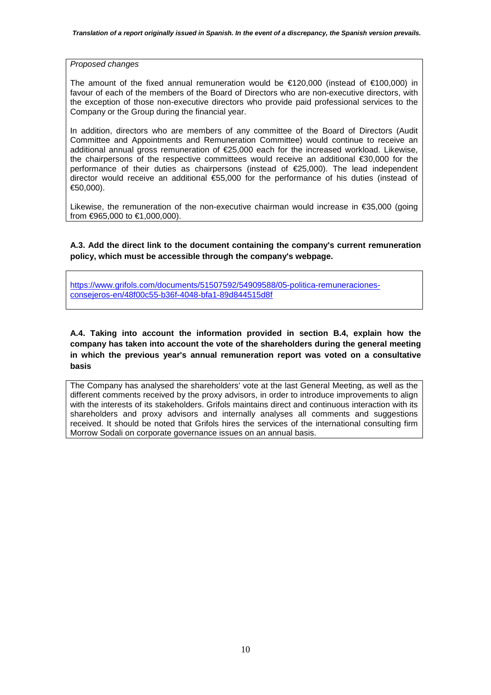*Proposed changes* 

The amount of the fixed annual remuneration would be  $\epsilon$ 120,000 (instead of  $\epsilon$ 100,000) in favour of each of the members of the Board of Directors who are non-executive directors, with the exception of those non-executive directors who provide paid professional services to the Company or the Group during the financial year.

In addition, directors who are members of any committee of the Board of Directors (Audit Committee and Appointments and Remuneration Committee) would continue to receive an additional annual gross remuneration of €25,000 each for the increased workload. Likewise, the chairpersons of the respective committees would receive an additional €30,000 for the performance of their duties as chairpersons (instead of €25,000). The lead independent director would receive an additional €55,000 for the performance of his duties (instead of €50,000).

Likewise, the remuneration of the non-executive chairman would increase in €35,000 (going from €965,000 to €1,000,000).

**A.3. Add the direct link to the document containing the company's current remuneration policy, which must be accessible through the company's webpage.** 

https://www.grifols.com/documents/51507592/54909588/05-politica-remuneracionesconsejeros-en/48f00c55-b36f-4048-bfa1-89d844515d8f

**A.4. Taking into account the information provided in section B.4, explain how the company has taken into account the vote of the shareholders during the general meeting in which the previous year's annual remuneration report was voted on a consultative basis** 

The Company has analysed the shareholders' vote at the last General Meeting, as well as the different comments received by the proxy advisors, in order to introduce improvements to align with the interests of its stakeholders. Grifols maintains direct and continuous interaction with its shareholders and proxy advisors and internally analyses all comments and suggestions received. It should be noted that Grifols hires the services of the international consulting firm Morrow Sodali on corporate governance issues on an annual basis.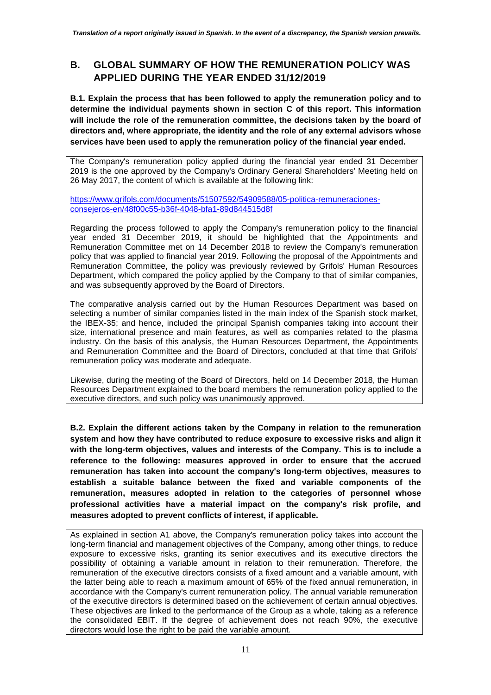# **B. GLOBAL SUMMARY OF HOW THE REMUNERATION POLICY WAS APPLIED DURING THE YEAR ENDED 31/12/2019**

**B.1. Explain the process that has been followed to apply the remuneration policy and to determine the individual payments shown in section C of this report. This information will include the role of the remuneration committee, the decisions taken by the board of directors and, where appropriate, the identity and the role of any external advisors whose services have been used to apply the remuneration policy of the financial year ended.** 

The Company's remuneration policy applied during the financial year ended 31 December 2019 is the one approved by the Company's Ordinary General Shareholders' Meeting held on 26 May 2017, the content of which is available at the following link:

https://www.grifols.com/documents/51507592/54909588/05-politica-remuneracionesconsejeros-en/48f00c55-b36f-4048-bfa1-89d844515d8f

Regarding the process followed to apply the Company's remuneration policy to the financial year ended 31 December 2019, it should be highlighted that the Appointments and Remuneration Committee met on 14 December 2018 to review the Company's remuneration policy that was applied to financial year 2019. Following the proposal of the Appointments and Remuneration Committee, the policy was previously reviewed by Grifols' Human Resources Department, which compared the policy applied by the Company to that of similar companies, and was subsequently approved by the Board of Directors.

The comparative analysis carried out by the Human Resources Department was based on selecting a number of similar companies listed in the main index of the Spanish stock market, the IBEX-35; and hence, included the principal Spanish companies taking into account their size, international presence and main features, as well as companies related to the plasma industry. On the basis of this analysis, the Human Resources Department, the Appointments and Remuneration Committee and the Board of Directors, concluded at that time that Grifols' remuneration policy was moderate and adequate.

Likewise, during the meeting of the Board of Directors, held on 14 December 2018, the Human Resources Department explained to the board members the remuneration policy applied to the executive directors, and such policy was unanimously approved.

**B.2. Explain the different actions taken by the Company in relation to the remuneration system and how they have contributed to reduce exposure to excessive risks and align it with the long-term objectives, values and interests of the Company. This is to include a reference to the following: measures approved in order to ensure that the accrued remuneration has taken into account the company's long-term objectives, measures to establish a suitable balance between the fixed and variable components of the remuneration, measures adopted in relation to the categories of personnel whose professional activities have a material impact on the company's risk profile, and measures adopted to prevent conflicts of interest, if applicable.** 

As explained in section A1 above, the Company's remuneration policy takes into account the long-term financial and management objectives of the Company, among other things, to reduce exposure to excessive risks, granting its senior executives and its executive directors the possibility of obtaining a variable amount in relation to their remuneration. Therefore, the remuneration of the executive directors consists of a fixed amount and a variable amount, with the latter being able to reach a maximum amount of 65% of the fixed annual remuneration, in accordance with the Company's current remuneration policy. The annual variable remuneration of the executive directors is determined based on the achievement of certain annual objectives. These objectives are linked to the performance of the Group as a whole, taking as a reference the consolidated EBIT. If the degree of achievement does not reach 90%, the executive directors would lose the right to be paid the variable amount.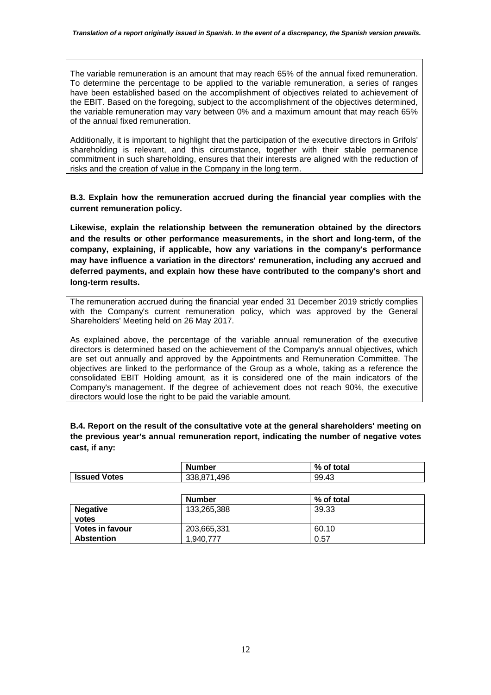The variable remuneration is an amount that may reach 65% of the annual fixed remuneration. To determine the percentage to be applied to the variable remuneration, a series of ranges have been established based on the accomplishment of objectives related to achievement of the EBIT. Based on the foregoing, subject to the accomplishment of the objectives determined, the variable remuneration may vary between 0% and a maximum amount that may reach 65% of the annual fixed remuneration.

Additionally, it is important to highlight that the participation of the executive directors in Grifols' shareholding is relevant, and this circumstance, together with their stable permanence commitment in such shareholding, ensures that their interests are aligned with the reduction of risks and the creation of value in the Company in the long term.

**B.3. Explain how the remuneration accrued during the financial year complies with the current remuneration policy.** 

**Likewise, explain the relationship between the remuneration obtained by the directors and the results or other performance measurements, in the short and long-term, of the company, explaining, if applicable, how any variations in the company's performance may have influence a variation in the directors' remuneration, including any accrued and deferred payments, and explain how these have contributed to the company's short and long-term results.** 

The remuneration accrued during the financial year ended 31 December 2019 strictly complies with the Company's current remuneration policy, which was approved by the General Shareholders' Meeting held on 26 May 2017.

As explained above, the percentage of the variable annual remuneration of the executive directors is determined based on the achievement of the Company's annual objectives, which are set out annually and approved by the Appointments and Remuneration Committee. The objectives are linked to the performance of the Group as a whole, taking as a reference the consolidated EBIT Holding amount, as it is considered one of the main indicators of the Company's management. If the degree of achievement does not reach 90%, the executive directors would lose the right to be paid the variable amount.

**B.4. Report on the result of the consultative vote at the general shareholders' meeting on the previous year's annual remuneration report, indicating the number of negative votes cast, if any:** 

|                     | <b>Number</b>    | % of total |
|---------------------|------------------|------------|
| <b>Issued Votes</b> | 1.496<br>338.871 | 99.43      |

|                          | <b>Number</b> | % of total |
|--------------------------|---------------|------------|
| <b>Negative</b><br>votes | 133,265,388   | 39.33      |
| <b>Votes in favour</b>   | 203,665,331   | 60.10      |
| <b>Abstention</b>        | 1.940.777     | 0.57       |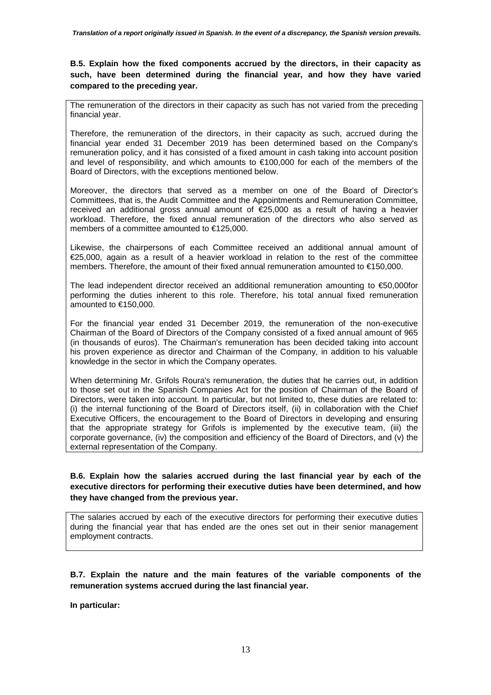**B.5. Explain how the fixed components accrued by the directors, in their capacity as such, have been determined during the financial year, and how they have varied compared to the preceding year.** 

The remuneration of the directors in their capacity as such has not varied from the preceding financial year.

Therefore, the remuneration of the directors, in their capacity as such, accrued during the financial year ended 31 December 2019 has been determined based on the Company's remuneration policy, and it has consisted of a fixed amount in cash taking into account position and level of responsibility, and which amounts to €100,000 for each of the members of the Board of Directors, with the exceptions mentioned below.

Moreover, the directors that served as a member on one of the Board of Director's Committees, that is, the Audit Committee and the Appointments and Remuneration Committee, received an additional gross annual amount of €25,000 as a result of having a heavier workload. Therefore, the fixed annual remuneration of the directors who also served as members of a committee amounted to €125,000.

Likewise, the chairpersons of each Committee received an additional annual amount of €25,000, again as a result of a heavier workload in relation to the rest of the committee members. Therefore, the amount of their fixed annual remuneration amounted to €150,000.

The lead independent director received an additional remuneration amounting to €50,000for performing the duties inherent to this role. Therefore, his total annual fixed remuneration amounted to €150,000.

For the financial year ended 31 December 2019, the remuneration of the non-executive Chairman of the Board of Directors of the Company consisted of a fixed annual amount of 965 (in thousands of euros). The Chairman's remuneration has been decided taking into account his proven experience as director and Chairman of the Company, in addition to his valuable knowledge in the sector in which the Company operates.

When determining Mr. Grifols Roura's remuneration, the duties that he carries out, in addition to those set out in the Spanish Companies Act for the position of Chairman of the Board of Directors, were taken into account. In particular, but not limited to, these duties are related to: (i) the internal functioning of the Board of Directors itself, (ii) in collaboration with the Chief Executive Officers, the encouragement to the Board of Directors in developing and ensuring that the appropriate strategy for Grifols is implemented by the executive team, (iii) the corporate governance, (iv) the composition and efficiency of the Board of Directors, and (v) the external representation of the Company.

### **B.6. Explain how the salaries accrued during the last financial year by each of the executive directors for performing their executive duties have been determined, and how they have changed from the previous year.**

The salaries accrued by each of the executive directors for performing their executive duties during the financial year that has ended are the ones set out in their senior management employment contracts.

### **B.7. Explain the nature and the main features of the variable components of the remuneration systems accrued during the last financial year.**

**In particular:**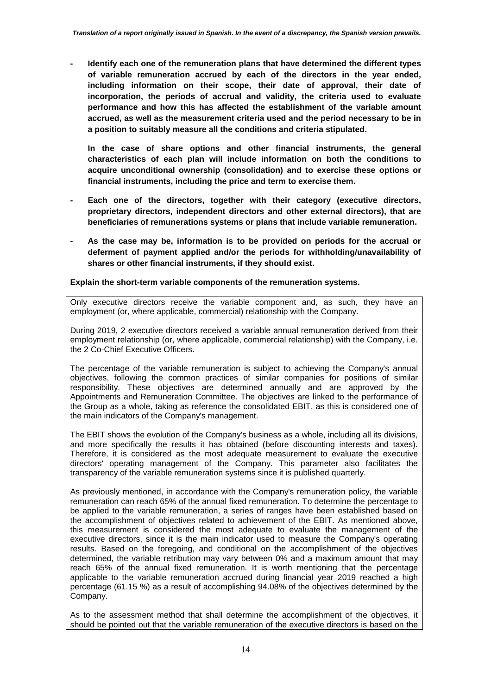**- Identify each one of the remuneration plans that have determined the different types of variable remuneration accrued by each of the directors in the year ended, including information on their scope, their date of approval, their date of incorporation, the periods of accrual and validity, the criteria used to evaluate performance and how this has affected the establishment of the variable amount accrued, as well as the measurement criteria used and the period necessary to be in a position to suitably measure all the conditions and criteria stipulated.** 

**In the case of share options and other financial instruments, the general characteristics of each plan will include information on both the conditions to acquire unconditional ownership (consolidation) and to exercise these options or financial instruments, including the price and term to exercise them.** 

- Each one of the directors, together with their category (executive directors, **proprietary directors, independent directors and other external directors), that are beneficiaries of remunerations systems or plans that include variable remuneration.**
- **As the case may be, information is to be provided on periods for the accrual or deferment of payment applied and/or the periods for withholding/unavailability of shares or other financial instruments, if they should exist.**

**Explain the short-term variable components of the remuneration systems.** 

Only executive directors receive the variable component and, as such, they have an employment (or, where applicable, commercial) relationship with the Company.

During 2019, 2 executive directors received a variable annual remuneration derived from their employment relationship (or, where applicable, commercial relationship) with the Company, i.e. the 2 Co-Chief Executive Officers.

The percentage of the variable remuneration is subject to achieving the Company's annual objectives, following the common practices of similar companies for positions of similar responsibility. These objectives are determined annually and are approved by the Appointments and Remuneration Committee. The objectives are linked to the performance of the Group as a whole, taking as reference the consolidated EBIT, as this is considered one of the main indicators of the Company's management.

The EBIT shows the evolution of the Company's business as a whole, including all its divisions, and more specifically the results it has obtained (before discounting interests and taxes). Therefore, it is considered as the most adequate measurement to evaluate the executive directors' operating management of the Company. This parameter also facilitates the transparency of the variable remuneration systems since it is published quarterly.

As previously mentioned, in accordance with the Company's remuneration policy, the variable remuneration can reach 65% of the annual fixed remuneration. To determine the percentage to be applied to the variable remuneration, a series of ranges have been established based on the accomplishment of objectives related to achievement of the EBIT. As mentioned above, this measurement is considered the most adequate to evaluate the management of the executive directors, since it is the main indicator used to measure the Company's operating results. Based on the foregoing, and conditional on the accomplishment of the objectives determined, the variable retribution may vary between 0% and a maximum amount that may reach 65% of the annual fixed remuneration. It is worth mentioning that the percentage applicable to the variable remuneration accrued during financial year 2019 reached a high percentage (61.15 %) as a result of accomplishing 94.08% of the objectives determined by the Company.

As to the assessment method that shall determine the accomplishment of the objectives, it should be pointed out that the variable remuneration of the executive directors is based on the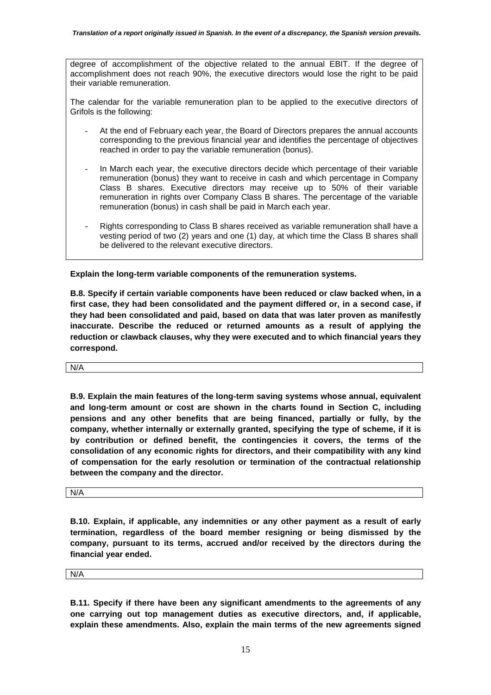degree of accomplishment of the objective related to the annual EBIT. If the degree of accomplishment does not reach 90%, the executive directors would lose the right to be paid their variable remuneration.

The calendar for the variable remuneration plan to be applied to the executive directors of Grifols is the following:

- At the end of February each year, the Board of Directors prepares the annual accounts corresponding to the previous financial year and identifies the percentage of objectives reached in order to pay the variable remuneration (bonus).
- In March each year, the executive directors decide which percentage of their variable remuneration (bonus) they want to receive in cash and which percentage in Company Class B shares. Executive directors may receive up to 50% of their variable remuneration in rights over Company Class B shares. The percentage of the variable remuneration (bonus) in cash shall be paid in March each year.
- Rights corresponding to Class B shares received as variable remuneration shall have a vesting period of two (2) years and one (1) day, at which time the Class B shares shall be delivered to the relevant executive directors.

**Explain the long-term variable components of the remuneration systems.** 

**B.8. Specify if certain variable components have been reduced or claw backed when, in a first case, they had been consolidated and the payment differed or, in a second case, if they had been consolidated and paid, based on data that was later proven as manifestly inaccurate. Describe the reduced or returned amounts as a result of applying the reduction or clawback clauses, why they were executed and to which financial years they correspond.** 

N/A

**B.9. Explain the main features of the long-term saving systems whose annual, equivalent and long-term amount or cost are shown in the charts found in Section C, including pensions and any other benefits that are being financed, partially or fully, by the company, whether internally or externally granted, specifying the type of scheme, if it is by contribution or defined benefit, the contingencies it covers, the terms of the consolidation of any economic rights for directors, and their compatibility with any kind of compensation for the early resolution or termination of the contractual relationship between the company and the director.** 

N/A

**B.10. Explain, if applicable, any indemnities or any other payment as a result of early termination, regardless of the board member resigning or being dismissed by the company, pursuant to its terms, accrued and/or received by the directors during the financial year ended.** 

N/A

**B.11. Specify if there have been any significant amendments to the agreements of any one carrying out top management duties as executive directors, and, if applicable, explain these amendments. Also, explain the main terms of the new agreements signed**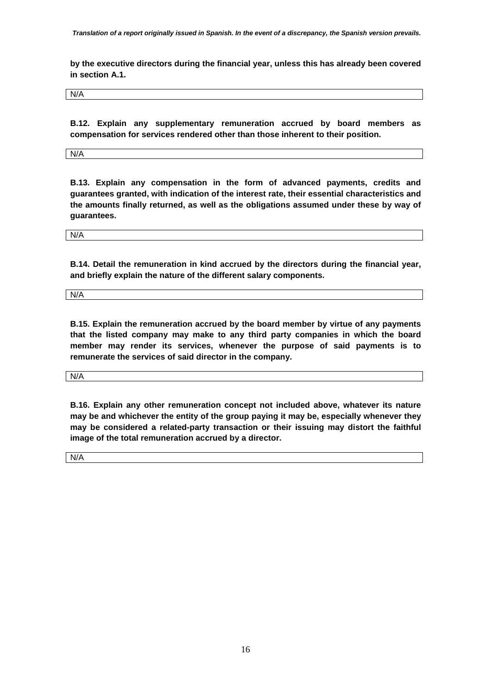*Translation of a report originally issued in Spanish. In the event of a discrepancy, the Spanish version prevails.* 

**by the executive directors during the financial year, unless this has already been covered in section A.1.** 

N/A

**B.12. Explain any supplementary remuneration accrued by board members as compensation for services rendered other than those inherent to their position.** 

N/A

**B.13. Explain any compensation in the form of advanced payments, credits and guarantees granted, with indication of the interest rate, their essential characteristics and the amounts finally returned, as well as the obligations assumed under these by way of guarantees.** 

N/A

**B.14. Detail the remuneration in kind accrued by the directors during the financial year, and briefly explain the nature of the different salary components.** 

N/A

**B.15. Explain the remuneration accrued by the board member by virtue of any payments that the listed company may make to any third party companies in which the board member may render its services, whenever the purpose of said payments is to remunerate the services of said director in the company.** 

N/A

**B.16. Explain any other remuneration concept not included above, whatever its nature may be and whichever the entity of the group paying it may be, especially whenever they may be considered a related-party transaction or their issuing may distort the faithful image of the total remuneration accrued by a director.** 

N/A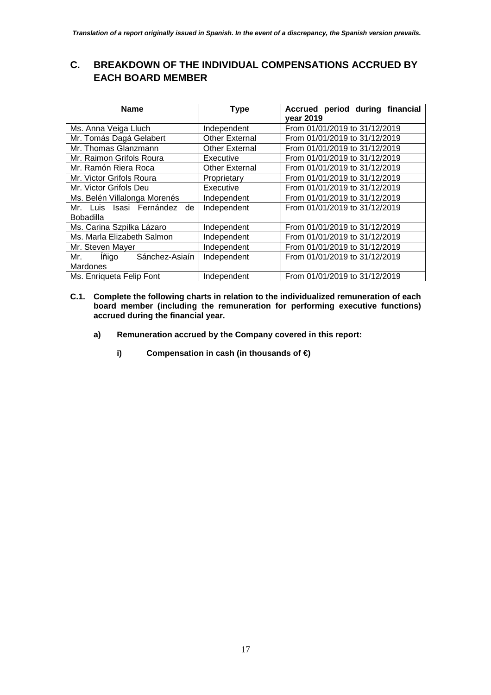# **C. BREAKDOWN OF THE INDIVIDUAL COMPENSATIONS ACCRUED BY EACH BOARD MEMBER**

| <b>Name</b>                                        | <b>Type</b>           | Accrued period during financial<br>year 2019 |
|----------------------------------------------------|-----------------------|----------------------------------------------|
| Ms. Anna Veiga Lluch                               | Independent           | From 01/01/2019 to 31/12/2019                |
| Mr. Tomás Dagá Gelabert                            | <b>Other External</b> | From 01/01/2019 to 31/12/2019                |
| Mr. Thomas Glanzmann                               | <b>Other External</b> | From 01/01/2019 to 31/12/2019                |
| Mr. Raimon Grifols Roura                           | Executive             | From 01/01/2019 to 31/12/2019                |
| Mr. Ramón Riera Roca                               | Other External        | From 01/01/2019 to 31/12/2019                |
| Mr. Victor Grifols Roura                           | Proprietary           | From 01/01/2019 to 31/12/2019                |
| Mr. Victor Grifols Deu                             | Executive             | From 01/01/2019 to 31/12/2019                |
| Ms. Belén Villalonga Morenés                       | Independent           | From 01/01/2019 to 31/12/2019                |
| Mr. Luis Isasi Fernández<br>de<br><b>Bobadilla</b> | Independent           | From 01/01/2019 to 31/12/2019                |
| Ms. Carina Szpilka Lázaro                          | Independent           | From 01/01/2019 to 31/12/2019                |
| Ms. Marla Elizabeth Salmon                         | Independent           | From 01/01/2019 to 31/12/2019                |
| Mr. Steven Mayer                                   | Independent           | From 01/01/2019 to 31/12/2019                |
| Sánchez-Asiaín<br>lñigo<br>Mr.<br><b>Mardones</b>  | Independent           | From 01/01/2019 to 31/12/2019                |
| Ms. Enriqueta Felip Font                           | Independent           | From 01/01/2019 to 31/12/2019                |

- **C.1. Complete the following charts in relation to the individualized remuneration of each board member (including the remuneration for performing executive functions) accrued during the financial year.** 
	- **a) Remuneration accrued by the Company covered in this report:** 
		- **i) Compensation in cash (in thousands of €)**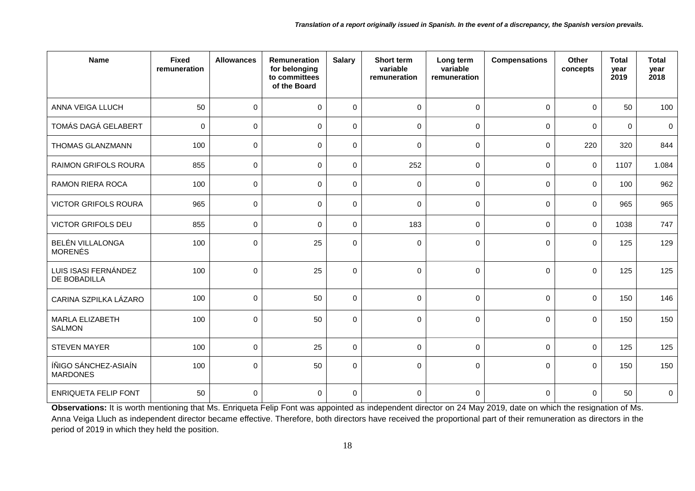| <b>Name</b>                               | <b>Fixed</b><br>remuneration | <b>Allowances</b> | <b>Remuneration</b><br>for belonging<br>to committees<br>of the Board | <b>Salary</b>    | <b>Short term</b><br>variable<br>remuneration | Long term<br>variable<br>remuneration | <b>Compensations</b> | Other<br>concepts | <b>Total</b><br>year<br>2019 | <b>Total</b><br>year<br>2018 |
|-------------------------------------------|------------------------------|-------------------|-----------------------------------------------------------------------|------------------|-----------------------------------------------|---------------------------------------|----------------------|-------------------|------------------------------|------------------------------|
| ANNA VEIGA LLUCH                          | 50                           | $\pmb{0}$         | $\mathbf 0$                                                           | $\pmb{0}$        | $\mathbf 0$                                   | $\mathbf 0$                           | 0                    | $\mathbf 0$       | 50                           | 100                          |
| TOMÁS DAGÁ GELABERT                       | 0                            | 0                 | $\mathbf 0$                                                           | $\mathbf 0$      | $\mathbf 0$                                   | $\Omega$                              | $\mathbf 0$          | 0                 | $\mathbf 0$                  | 0                            |
| THOMAS GLANZMANN                          | 100                          | 0                 | $\mathbf 0$                                                           | $\mathbf 0$      | $\mathbf 0$                                   | $\mathbf 0$                           | 0                    | 220               | 320                          | 844                          |
| <b>RAIMON GRIFOLS ROURA</b>               | 855                          | 0                 | $\mathbf 0$                                                           | $\mathbf 0$      | 252                                           | $\mathbf 0$                           | 0                    | $\mathbf 0$       | 1107                         | 1.084                        |
| <b>RAMON RIERA ROCA</b>                   | 100                          | 0                 | $\mathbf 0$                                                           | $\mathbf 0$      | $\mathbf 0$                                   | $\Omega$                              | $\mathbf 0$          | $\Omega$          | 100                          | 962                          |
| <b>VICTOR GRIFOLS ROURA</b>               | 965                          | 0                 | $\pmb{0}$                                                             | $\boldsymbol{0}$ | $\mathbf 0$                                   | $\mathbf 0$                           | 0                    | $\mathbf 0$       | 965                          | 965                          |
| <b>VICTOR GRIFOLS DEU</b>                 | 855                          | 0                 | $\mathbf 0$                                                           | $\mathbf 0$      | 183                                           | $\mathbf 0$                           | 0                    | $\mathbf 0$       | 1038                         | 747                          |
| <b>BELÉN VILLALONGA</b><br><b>MORENÉS</b> | 100                          | 0                 | 25                                                                    | $\mathbf 0$      | $\mathbf 0$                                   | $\Omega$                              | $\mathbf 0$          | $\Omega$          | 125                          | 129                          |
| LUIS ISASI FERNÁNDEZ<br>DE BOBADILLA      | 100                          | $\Omega$          | 25                                                                    | $\mathbf 0$      | $\mathbf 0$                                   | $\Omega$                              | 0                    | $\Omega$          | 125                          | 125                          |
| CARINA SZPILKA LÁZARO                     | 100                          | 0                 | 50                                                                    | $\mathbf 0$      | $\mathsf{O}\xspace$                           | $\mathbf 0$                           | 0                    | $\mathbf 0$       | 150                          | 146                          |
| <b>MARLA ELIZABETH</b><br><b>SALMON</b>   | 100                          | 0                 | 50                                                                    | $\mathbf 0$      | $\mathbf 0$                                   | $\mathbf 0$                           | $\mathbf 0$          | $\mathbf 0$       | 150                          | 150                          |
| <b>STEVEN MAYER</b>                       | 100                          | $\mathbf 0$       | 25                                                                    | $\mathbf 0$      | $\mathsf{O}\xspace$                           | $\Omega$                              | 0                    | $\Omega$          | 125                          | 125                          |
| ÍÑIGO SÁNCHEZ-ASIAÍN<br><b>MARDONES</b>   | 100                          | 0                 | 50                                                                    | $\mathbf 0$      | 0                                             | $\mathbf 0$                           | 0                    | 0                 | 150                          | 150                          |
| <b>ENRIQUETA FELIP FONT</b>               | 50                           | $\Omega$          | $\mathbf 0$                                                           | $\mathbf 0$      | $\mathbf 0$                                   | $\mathbf 0$                           | $\mathbf 0$          | 0                 | 50                           | $\mathbf 0$                  |

Observations: It is worth mentioning that Ms. Enriqueta Felip Font was appointed as independent director on 24 May 2019, date on which the resignation of Ms. Anna Veiga Lluch as independent director became effective. Therefore, both directors have received the proportional part of their remuneration as directors in the period of 2019 in which they held the position.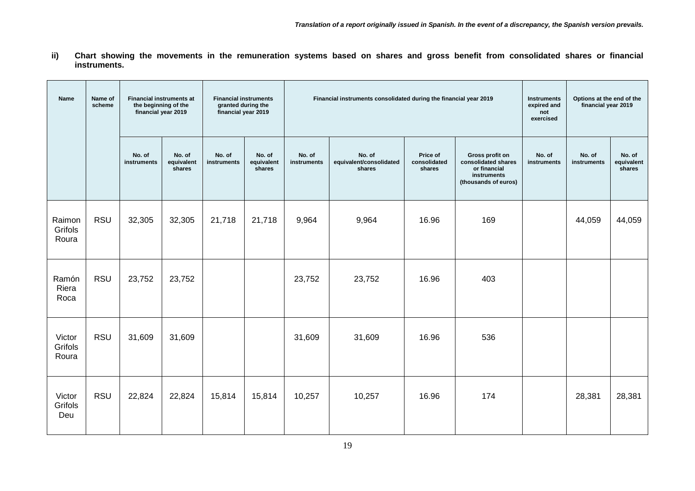**ii) Chart showing the movements in the remuneration systems based on shares and gross benefit from consolidated shares or financial instruments.**

| <b>Name</b>                | Name of<br>scheme | <b>Financial instruments at</b><br>the beginning of the<br>financial year 2019 |                                | <b>Financial instruments</b><br>granted during the<br>financial year 2019 |                                |                       | Financial instruments consolidated during the financial year 2019 | <b>Instruments</b><br>expired and<br>not<br>exercised | Options at the end of the<br>financial year 2019                                              |                       |                       |                                |     |  |  |  |
|----------------------------|-------------------|--------------------------------------------------------------------------------|--------------------------------|---------------------------------------------------------------------------|--------------------------------|-----------------------|-------------------------------------------------------------------|-------------------------------------------------------|-----------------------------------------------------------------------------------------------|-----------------------|-----------------------|--------------------------------|-----|--|--|--|
|                            |                   | No. of<br>instruments                                                          | No. of<br>equivalent<br>shares | No. of<br>instruments                                                     | No. of<br>equivalent<br>shares | No. of<br>instruments | No. of<br>equivalent/consolidated<br>shares                       | Price of<br>consolidated<br>shares                    | Gross profit on<br>consolidated shares<br>or financial<br>instruments<br>(thousands of euros) | No. of<br>instruments | No. of<br>instruments | No. of<br>equivalent<br>shares |     |  |  |  |
| Raimon<br>Grifols<br>Roura | <b>RSU</b>        | 32,305                                                                         | 32,305                         | 21,718                                                                    | 21,718                         | 9,964                 | 9,964                                                             | 16.96                                                 | 169                                                                                           |                       | 44,059                | 44,059                         |     |  |  |  |
| Ramón<br>Riera<br>Roca     | <b>RSU</b>        | 23,752                                                                         | 23,752                         |                                                                           |                                | 23,752                | 23,752                                                            | 16.96                                                 | 403                                                                                           |                       |                       |                                |     |  |  |  |
| Victor<br>Grifols<br>Roura | <b>RSU</b>        | 31,609                                                                         | 31,609                         |                                                                           |                                | 31,609                |                                                                   |                                                       |                                                                                               |                       | 31,609                | 16.96                          | 536 |  |  |  |
| Victor<br>Grifols<br>Deu   | <b>RSU</b>        | 22,824                                                                         | 22,824                         | 15,814                                                                    | 15,814                         | 10,257                | 10,257                                                            | 16.96                                                 | 174                                                                                           |                       | 28,381                | 28,381                         |     |  |  |  |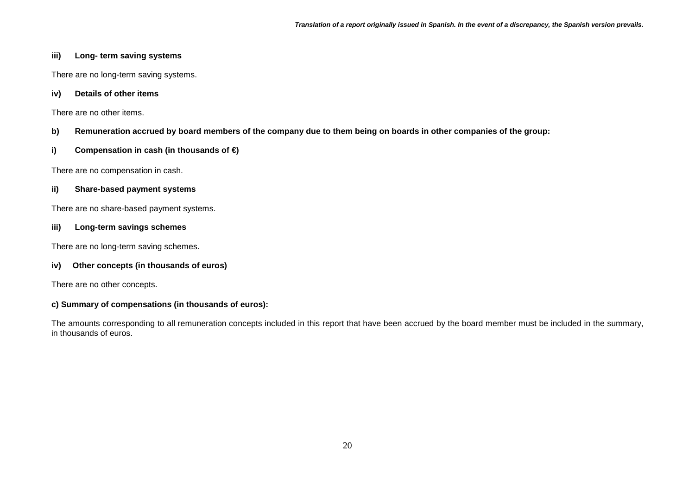### **iii) Long- term saving systems**

There are no long-term saving systems.

### **iv) Details of other items**

There are no other items.

### **b) Remuneration accrued by board members of the company due to them being on boards in other companies of the group:**

### **i) Compensation in cash (in thousands of €)**

There are no compensation in cash.

### **ii) Share-based payment systems**

There are no share-based payment systems.

### **iii) Long-term savings schemes**

There are no long-term saving schemes.

### **iv) Other concepts (in thousands of euros)**

There are no other concepts.

### **c) Summary of compensations (in thousands of euros):**

The amounts corresponding to all remuneration concepts included in this report that have been accrued by the board member must be included in the summary, in thousands of euros.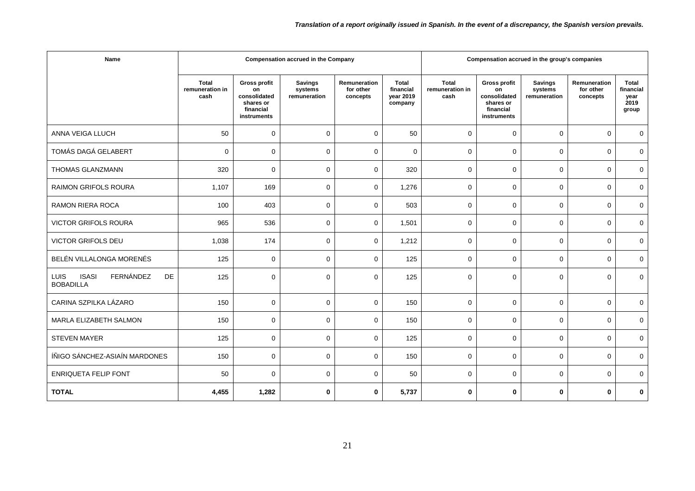| Name                                                                      |                                         | Compensation accrued in the group's companies                                      |                                           |                                       |                                                   |                                         |                                                                             |                                           |                                       |                                                    |
|---------------------------------------------------------------------------|-----------------------------------------|------------------------------------------------------------------------------------|-------------------------------------------|---------------------------------------|---------------------------------------------------|-----------------------------------------|-----------------------------------------------------------------------------|-------------------------------------------|---------------------------------------|----------------------------------------------------|
|                                                                           | <b>Total</b><br>remuneration in<br>cash | <b>Gross profit</b><br>on<br>consolidated<br>shares or<br>financial<br>instruments | <b>Savings</b><br>systems<br>remuneration | Remuneration<br>for other<br>concepts | <b>Total</b><br>financial<br>vear 2019<br>company | <b>Total</b><br>remuneration in<br>cash | Gross profit<br>on<br>consolidated<br>shares or<br>financial<br>instruments | <b>Savings</b><br>systems<br>remuneration | Remuneration<br>for other<br>concepts | <b>Total</b><br>financial<br>year<br>2019<br>group |
| ANNA VEIGA LLUCH                                                          | 50                                      | $\mathbf 0$                                                                        | $\mathbf 0$                               | $\mathbf 0$                           | 50                                                | 0                                       | $\mathbf 0$                                                                 | $\mathbf 0$                               | $\mathbf 0$                           | $\mathbf 0$                                        |
| TOMÁS DAGÁ GELABERT                                                       | $\mathbf 0$                             | $\Omega$                                                                           | $\Omega$                                  | $\Omega$                              | $\Omega$                                          | 0                                       | $\mathbf 0$                                                                 | $\Omega$                                  | $\Omega$                              | $\mathbf 0$                                        |
| THOMAS GLANZMANN                                                          | 320                                     | $\mathbf 0$                                                                        | $\mathbf 0$                               | $\mathbf 0$                           | 320                                               | 0                                       | $\mathbf 0$                                                                 | $\Omega$                                  | $\Omega$                              | $\mathbf 0$                                        |
| <b>RAIMON GRIFOLS ROURA</b>                                               | 1,107                                   | 169                                                                                | $\mathbf 0$                               | $\Omega$                              | 1,276                                             | 0                                       | $\mathbf 0$                                                                 | $\mathbf 0$                               | $\Omega$                              | $\mathbf 0$                                        |
| RAMON RIERA ROCA                                                          | 100                                     | 403                                                                                | $\mathbf 0$                               | $\mathbf 0$                           | 503                                               | 0                                       | $\mathbf 0$                                                                 | $\mathbf 0$                               | $\Omega$                              | $\mathbf 0$                                        |
| <b>VICTOR GRIFOLS ROURA</b>                                               | 965                                     | 536                                                                                | $\mathbf 0$                               | $\mathbf 0$                           | 1,501                                             | 0                                       | $\mathbf 0$                                                                 | $\mathbf 0$                               | $\mathbf 0$                           | $\mathbf 0$                                        |
| VICTOR GRIFOLS DEU                                                        | 1,038                                   | 174                                                                                | $\mathbf 0$                               | $\mathbf 0$                           | 1,212                                             | 0                                       | $\mathbf 0$                                                                 | $\mathbf 0$                               | $\Omega$                              | $\mathbf 0$                                        |
| BELÉN VILLALONGA MORENÉS                                                  | 125                                     | $\mathbf 0$                                                                        | $\mathbf 0$                               | $\mathbf 0$                           | 125                                               | 0                                       | $\mathbf 0$                                                                 | $\mathbf 0$                               | $\mathbf 0$                           | $\mathbf 0$                                        |
| FERNÁNDEZ<br><b>LUIS</b><br><b>ISASI</b><br><b>DE</b><br><b>BOBADILLA</b> | 125                                     | $\Omega$                                                                           | $\Omega$                                  | $\Omega$                              | 125                                               | 0                                       | $\Omega$                                                                    | $\Omega$                                  | $\Omega$                              | $\Omega$                                           |
| CARINA SZPILKA LÁZARO                                                     | 150                                     | $\mathbf 0$                                                                        | $\mathbf 0$                               | $\mathbf 0$                           | 150                                               | 0                                       | $\mathbf 0$                                                                 | $\Omega$                                  | $\Omega$                              | $\mathbf 0$                                        |
| MARLA ELIZABETH SALMON                                                    | 150                                     | $\mathbf 0$                                                                        | $\mathbf 0$                               | $\mathbf 0$                           | 150                                               | 0                                       | 0                                                                           | $\mathbf 0$                               | $\mathbf 0$                           | 0                                                  |
| <b>STEVEN MAYER</b>                                                       | 125                                     | 0                                                                                  | $\mathbf 0$                               | $\mathbf 0$                           | 125                                               | 0                                       | $\mathbf 0$                                                                 | $\Omega$                                  | $\Omega$                              | $\mathbf 0$                                        |
| ÍÑIGO SÁNCHEZ-ASIAÍN MARDONES                                             | 150                                     | $\mathbf 0$                                                                        | $\mathbf 0$                               | $\mathbf 0$                           | 150                                               | 0                                       | $\mathbf 0$                                                                 | $\Omega$                                  | $\Omega$                              | $\mathbf 0$                                        |
| <b>ENRIQUETA FELIP FONT</b>                                               | 50                                      | $\mathbf 0$                                                                        | $\mathbf 0$                               | $\mathbf 0$                           | 50                                                | 0                                       | $\mathbf 0$                                                                 | $\mathbf 0$                               | $\Omega$                              | $\mathbf 0$                                        |
| <b>TOTAL</b>                                                              | 4,455                                   | 1,282                                                                              | $\bf{0}$                                  | $\mathbf 0$                           | 5,737                                             | 0                                       | $\bf{0}$                                                                    | $\bf{0}$                                  | $\mathbf{0}$                          | 0                                                  |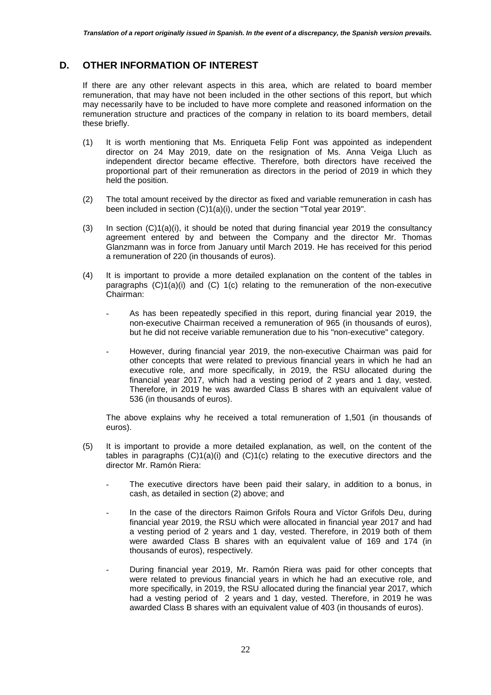### **D. OTHER INFORMATION OF INTEREST**

If there are any other relevant aspects in this area, which are related to board member remuneration, that may have not been included in the other sections of this report, but which may necessarily have to be included to have more complete and reasoned information on the remuneration structure and practices of the company in relation to its board members, detail these briefly.

- (1) It is worth mentioning that Ms. Enriqueta Felip Font was appointed as independent director on 24 May 2019, date on the resignation of Ms. Anna Veiga Lluch as independent director became effective. Therefore, both directors have received the proportional part of their remuneration as directors in the period of 2019 in which they held the position.
- (2) The total amount received by the director as fixed and variable remuneration in cash has been included in section (C)1(a)(i), under the section "Total year 2019".
- (3) In section  $(C)1(a)(i)$ , it should be noted that during financial year 2019 the consultancy agreement entered by and between the Company and the director Mr. Thomas Glanzmann was in force from January until March 2019. He has received for this period a remuneration of 220 (in thousands of euros).
- (4) It is important to provide a more detailed explanation on the content of the tables in paragraphs  $(C)1(a)(i)$  and  $(C) 1(c)$  relating to the remuneration of the non-executive Chairman:
	- As has been repeatedly specified in this report, during financial year 2019, the non-executive Chairman received a remuneration of 965 (in thousands of euros), but he did not receive variable remuneration due to his "non-executive" category.
	- However, during financial year 2019, the non-executive Chairman was paid for other concepts that were related to previous financial years in which he had an executive role, and more specifically, in 2019, the RSU allocated during the financial year 2017, which had a vesting period of 2 years and 1 day, vested. Therefore, in 2019 he was awarded Class B shares with an equivalent value of 536 (in thousands of euros).

The above explains why he received a total remuneration of 1,501 (in thousands of euros).

- (5) It is important to provide a more detailed explanation, as well, on the content of the tables in paragraphs  $(C)1(a)(i)$  and  $(C)1(c)$  relating to the executive directors and the director Mr. Ramón Riera:
	- The executive directors have been paid their salary, in addition to a bonus, in cash, as detailed in section (2) above; and
	- In the case of the directors Raimon Grifols Roura and Víctor Grifols Deu, during financial year 2019, the RSU which were allocated in financial year 2017 and had a vesting period of 2 years and 1 day, vested. Therefore, in 2019 both of them were awarded Class B shares with an equivalent value of 169 and 174 (in thousands of euros), respectively.
	- During financial year 2019, Mr. Ramón Riera was paid for other concepts that were related to previous financial years in which he had an executive role, and more specifically, in 2019, the RSU allocated during the financial year 2017, which had a vesting period of 2 years and 1 day, vested. Therefore, in 2019 he was awarded Class B shares with an equivalent value of 403 (in thousands of euros).